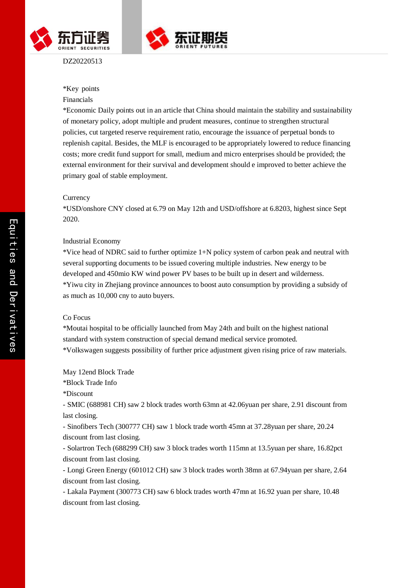



DZ20220513

## \*Key points Financials

# \*Economic Daily points out in an article that China should maintain the stability and sustainability of monetary policy, adopt multiple and prudent measures, continue to strengthen structural policies, cut targeted reserve requirement ratio, encourage the issuance of perpetual bonds to replenish capital. Besides, the MLF is encouraged to be appropriately lowered to reduce financing costs; more credit fund support for small, medium and micro enterprises should be provided; the external environment for their survival and development should e improved to better achieve the primary goal of stable employment.

### **Currency**

\*USD/onshore CNY closed at 6.79 on May 12th and USD/offshore at 6.8203, highest since Sept 2020.

### Industrial Economy

\*Vice head of NDRC said to further optimize 1+N policy system of carbon peak and neutral with several supporting documents to be issued covering multiple industries. New energy to be developed and 450mio KW wind power PV bases to be built up in desert and wilderness. \*Yiwu city in Zhejiang province announces to boost auto consumption by providing a subsidy of as much as 10,000 cny to auto buyers.

### Co Focus

\*Moutai hospital to be officially launched from May 24th and built on the highest national standard with system construction of special demand medical service promoted. \*Volkswagen suggests possibility of further price adjustment given rising price of raw materials.

May 12end Block Trade

\*Block Trade Info

\*Discount

- SMIC (688981 CH) saw 2 block trades worth 63mn at 42.06yuan per share, 2.91 discount from last closing.

- Sinofibers Tech (300777 CH) saw 1 block trade worth 45mn at 37.28yuan per share, 20.24 discount from last closing.

- Solartron Tech (688299 CH) saw 3 block trades worth 115mn at 13.5yuan per share, 16.82pct discount from last closing.

- Longi Green Energy (601012 CH) saw 3 block trades worth 38mn at 67.94yuan per share, 2.64 discount from last closing.

- Lakala Payment (300773 CH) saw 6 block trades worth 47mn at 16.92 yuan per share, 10.48 discount from last closing.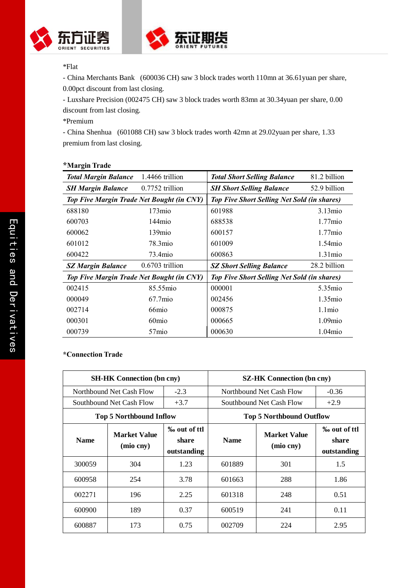



## \*Flat

- China Merchants Bank (600036 CH) saw 3 block trades worth 110mn at 36.61 yuan per share, 0.00pct discount from last closing.

- Luxshare Precision (002475 CH) saw 3 block trades worth 83mn at 30.34yuan per share, 0.00 discount from last closing.

\*Premium

- China Shenhua (601088 CH) saw 3 block trades worth 42mn at 29.02yuan per share, 1.33 premium from last closing.

| o                                                |                    |                                                    |                  |  |  |
|--------------------------------------------------|--------------------|----------------------------------------------------|------------------|--|--|
| <b>Total Margin Balance</b>                      | 1.4466 trillion    | <b>Total Short Selling Balance</b>                 | 81.2 billion     |  |  |
| <b>SH Margin Balance</b>                         | $0.7752$ trillion  | <b>SH Short Selling Balance</b>                    | 52.9 billion     |  |  |
| <b>Top Five Margin Trade Net Bought (in CNY)</b> |                    | <b>Top Five Short Selling Net Sold (in shares)</b> |                  |  |  |
| 688180                                           | 173mio             | 601988                                             | $3.13$ mio       |  |  |
| 600703                                           | 144 <sub>mio</sub> | 688538                                             | $1.77$ mio       |  |  |
| 600062                                           | 139mio             | 600157                                             | $1.77$ mio       |  |  |
| 601012                                           | 78.3mio            | 601009                                             | $1.54$ mio       |  |  |
| 600422                                           | 73.4mio            | 600863                                             | $1.31$ mio       |  |  |
| <b>SZ Margin Balance</b>                         | $0.6703$ trillion  | <b>SZ Short Selling Balance</b>                    | 28.2 billion     |  |  |
| <b>Top Five Margin Trade Net Bought (in CNY)</b> |                    | <b>Top Five Short Selling Net Sold (in shares)</b> |                  |  |  |
| 002415                                           | 85.55mio           | 000001                                             | 5.35mio          |  |  |
| 000049                                           | $67.7$ mio         | 002456                                             | $1.35\text{mio}$ |  |  |
| 002714                                           | 66 <sub>mio</sub>  | 000875                                             | $1.1$ mio        |  |  |
| 000301                                           | 60 <sub>mio</sub>  | 000665                                             | $1.09$ mio       |  |  |
| 000739                                           | 57 <sub>mio</sub>  | 000630                                             | 1.04mio          |  |  |

## *\*Margin Trade*

## \*Connection Trade

| <b>SH-HK Connection (bn cny)</b> |                                  |                                      | <b>SZ-HK Connection (bn cny)</b> |                                      |        |  |
|----------------------------------|----------------------------------|--------------------------------------|----------------------------------|--------------------------------------|--------|--|
|                                  | Northbound Net Cash Flow         | $-2.3$                               | Northbound Net Cash Flow         | $-0.36$                              |        |  |
|                                  | Southbound Net Cash Flow         | $+3.7$                               | Southbound Net Cash Flow         |                                      | $+2.9$ |  |
| <b>Top 5 Northbound Inflow</b>   |                                  |                                      | <b>Top 5 Northbound Outflow</b>  |                                      |        |  |
| <b>Name</b>                      | <b>Market Value</b><br>(mio cny) | ‰ out of ttl<br>share<br>outstanding | <b>Name</b>                      | ‰ out of ttl<br>share<br>outstanding |        |  |
| 300059                           | 304                              | 1.23                                 | 601889                           | 301                                  | 1.5    |  |
| 600958                           | 254                              | 3.78                                 | 601663                           | 288                                  | 1.86   |  |
| 002271                           | 196                              | 2.25                                 | 601318                           | 248                                  | 0.51   |  |
| 600900                           | 189                              | 0.37                                 | 600519                           | 241                                  | 0.11   |  |
| 600887                           | 173                              | 0.75                                 | 002709                           | 224                                  | 2.95   |  |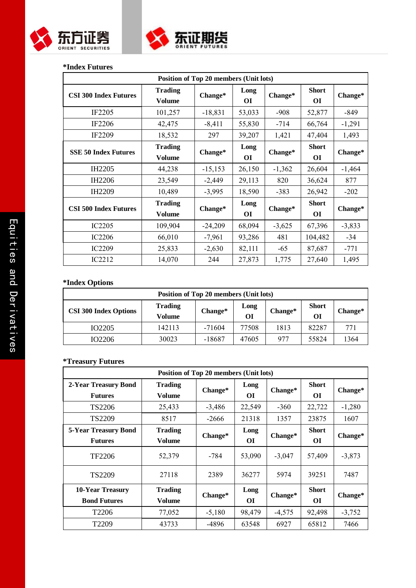



## **\*Index Futures**

| Position of Top 20 members (Unit lots) |                                 |           |            |          |                           |          |
|----------------------------------------|---------------------------------|-----------|------------|----------|---------------------------|----------|
| <b>CSI 300 Index Futures</b>           | <b>Trading</b><br><b>Volume</b> | Change*   | Long<br>ОI | Change*  | <b>Short</b><br><b>OI</b> | Change*  |
| IF <sub>2205</sub>                     | 101,257                         | $-18,831$ | 53,033     | $-908$   | 52,877                    | $-849$   |
| <b>IF2206</b>                          | 42,475                          | $-8,411$  | 55,830     | $-714$   | 66,764                    | $-1,291$ |
| IF2209                                 | 18,532                          | 297       | 39,207     | 1,421    | 47,404                    | 1,493    |
| <b>SSE 50 Index Futures</b>            | <b>Trading</b><br><b>Volume</b> | Change*   | Long<br>ОI | Change*  | <b>Short</b><br><b>OI</b> | Change*  |
| IH <sub>2205</sub>                     | 44,238                          | $-15,153$ | 26,150     | $-1,362$ | 26,604                    | $-1,464$ |
| IH <sub>2206</sub>                     | 23,549                          | $-2,449$  | 29,113     | 820      | 36,624                    | 877      |
| IH <sub>2209</sub>                     | 10,489                          | $-3,995$  | 18,590     | $-383$   | 26,942                    | $-202$   |
| <b>CSI 500 Index Futures</b>           | <b>Trading</b><br>Volume        | Change*   | Long<br>ОI | Change*  | <b>Short</b><br><b>OI</b> | Change*  |
| IC <sub>2205</sub>                     | 109,904                         | $-24,209$ | 68,094     | $-3,625$ | 67,396                    | $-3,833$ |
| <b>IC2206</b>                          | 66,010                          | $-7,961$  | 93,286     | 481      | 104,482                   | $-34$    |
| <b>IC2209</b>                          | 25,833                          | $-2,630$  | 82,111     | $-65$    | 87,687                    | $-771$   |
| IC2212                                 | 14,070                          | 244       | 27,873     | 1,775    | 27,640                    | 1,495    |

## **\*Index Options**

| Position of Top 20 members (Unit lots) |                          |          |            |         |                    |         |  |
|----------------------------------------|--------------------------|----------|------------|---------|--------------------|---------|--|
| <b>CSI 300 Index Options</b>           | <b>Trading</b><br>Volume | Change*  | Long<br>ОI | Change* | <b>Short</b><br>OІ | Change* |  |
| IO <sub>2205</sub>                     | 142113                   | $-71604$ | 77508      | 1813    | 82287              | 771     |  |
| IO2206                                 | 30023                    | -18687   | 47605      | 977     | 55824              | 1364    |  |

## **\*Treasury Futures**

| Position of Top 20 members (Unit lots)        |                                 |          |                   |          |                           |          |
|-----------------------------------------------|---------------------------------|----------|-------------------|----------|---------------------------|----------|
| 2-Year Treasury Bond<br><b>Futures</b>        | <b>Trading</b><br><b>Volume</b> | Change*  | Long<br>OІ        | Change*  | <b>Short</b><br>OІ        | Change*  |
| TS2206                                        | 25,433                          | $-3,486$ | 22,549            | $-360$   | 22,722                    | $-1,280$ |
| TS2209                                        | 8517                            | $-2666$  | 21318             | 1357     | 23875                     | 1607     |
| <b>5-Year Treasury Bond</b><br><b>Futures</b> | <b>Trading</b><br>Volume        | Change*  | Long<br>ОI        | Change*  | <b>Short</b><br><b>OI</b> | Change*  |
| TF2206                                        | 52,379                          | -784     | 53,090            | $-3,047$ | 57,409                    | $-3,873$ |
| TS2209                                        | 27118                           | 2389     | 36277             | 5974     | 39251                     | 7487     |
| 10-Year Treasury<br><b>Bond Futures</b>       | <b>Trading</b><br><b>Volume</b> | Change*  | Long<br><b>OI</b> | Change*  | <b>Short</b><br><b>OI</b> | Change*  |
| T <sub>2206</sub>                             | 77,052                          | $-5,180$ | 98,479            | $-4,575$ | 92,498                    | $-3,752$ |
| T <sub>2209</sub>                             | 43733                           | -4896    | 63548             | 6927     | 65812                     | 7466     |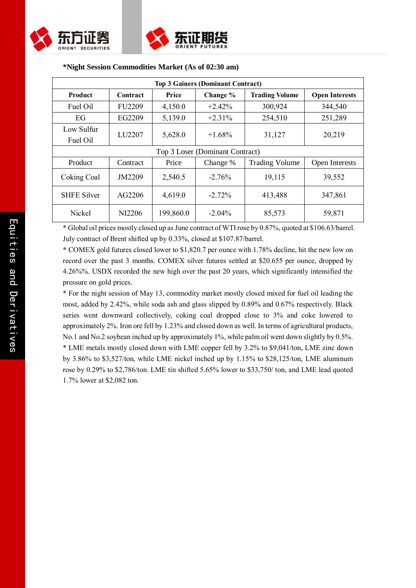



| <b>Top 3 Gainers (Dominant Contract)</b> |               |           |           |                       |                       |  |  |
|------------------------------------------|---------------|-----------|-----------|-----------------------|-----------------------|--|--|
| <b>Product</b>                           | Contract      | Price     | Change %  | <b>Trading Volume</b> | <b>Open Interests</b> |  |  |
| Fuel Oil                                 | <b>FU2209</b> | 4,150.0   | $+2.42%$  | 300,924               | 344,540               |  |  |
| EG                                       | EG2209        | 5,139.0   | $+2.31\%$ | 254,510               | 251,289               |  |  |
| Low Sulfur<br>Fuel Oil                   | LU2207        | 5,628.0   | $+1.68\%$ | 31,127                | 20,219                |  |  |
| Top 3 Loser (Dominant Contract)          |               |           |           |                       |                       |  |  |
| Product                                  | Contract      | Price     | Change %  | <b>Trading Volume</b> | Open Interests        |  |  |
| Coking Coal                              | JM2209        | 2,540.5   | $-2.76%$  | 19,115                | 39,552                |  |  |
| <b>SHFE Silver</b>                       | AG2206        | 4,619.0   | $-2.72%$  | 413,488               | 347,861               |  |  |
| Nickel                                   | NI2206        | 199,860.0 | $-2.04\%$ | 85,573                | 59,871                |  |  |

### **\*Night Session Commodities Market (As of 02:30 am)**

**\*** Global oil prices mostly closed up as June contract of WTI rose by 0.87%, quoted at \$106.63/barrel. July contract of Brent shifted up by 0.33%, closed at \$107.87/barrel.

**\*** COMEX gold futures closed lower to \$1,820.7 per ounce with 1.78% decline, hit the new low on record over the past 3 months. COMEX silver futures settled at \$20.655 per ounce, dropped by 4.26%%. USDX recorded the new high over the past 20 years, which significantly intensified the pressure on gold prices.

**\*** For the night session of May 13, commodity market mostly closed mixed for fuel oil leading the most, added by 2.42%, while soda ash and glass slipped by 0.89% and 0.67% respectively. Black series went downward collectively, coking coal dropped close to 3% and coke lowered to approximately 2%. Iron ore fell by 1.23% and closed down as well. In terms of agricultural products, No.1 and No.2 soybean inched up by approximately 1%, while palm oil went down slightly by 0.5%. \* LME metals mostly closed down with LME copper fell by 3.2% to \$9,041/ton, LME zinc down by 3.86% to \$3,527/ton, while LME nickel inched up by 1.15% to \$28,125/ton, LME aluminum rose by 0.29% to \$2,786/ton. LME tin shifted 5.65% lower to \$33,750/ ton, and LME lead quoted 1.7% lower at \$2,082 ton.